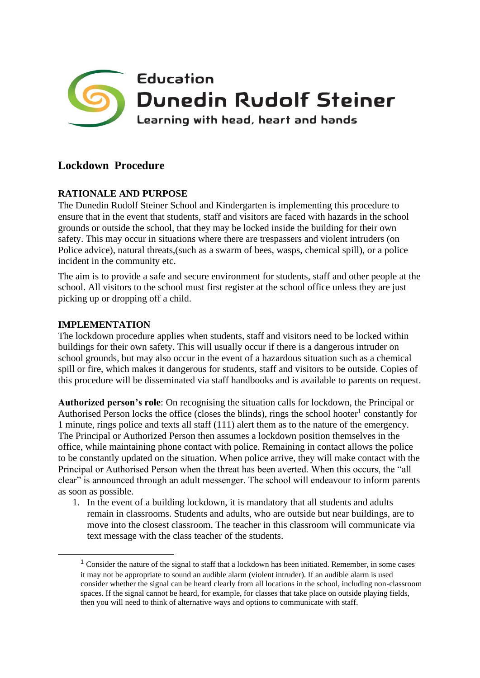

# **Lockdown Procedure**

## **RATIONALE AND PURPOSE**

The Dunedin Rudolf Steiner School and Kindergarten is implementing this procedure to ensure that in the event that students, staff and visitors are faced with hazards in the school grounds or outside the school, that they may be locked inside the building for their own safety. This may occur in situations where there are trespassers and violent intruders (on Police advice), natural threats,(such as a swarm of bees, wasps, chemical spill), or a police incident in the community etc.

The aim is to provide a safe and secure environment for students, staff and other people at the school. All visitors to the school must first register at the school office unless they are just picking up or dropping off a child.

#### **IMPLEMENTATION**

The lockdown procedure applies when students, staff and visitors need to be locked within buildings for their own safety. This will usually occur if there is a dangerous intruder on school grounds, but may also occur in the event of a hazardous situation such as a chemical spill or fire, which makes it dangerous for students, staff and visitors to be outside. Copies of this procedure will be disseminated via staff handbooks and is available to parents on request.

**Authorized person's role**: On recognising the situation calls for lockdown, the Principal or Authorised Person locks the office (closes the blinds), rings the school hooter<sup>1</sup> constantly for 1 minute, rings police and texts all staff (111) alert them as to the nature of the emergency. The Principal or Authorized Person then assumes a lockdown position themselves in the office, while maintaining phone contact with police. Remaining in contact allows the police to be constantly updated on the situation. When police arrive, they will make contact with the Principal or Authorised Person when the threat has been averted. When this occurs, the "all clear" is announced through an adult messenger. The school will endeavour to inform parents as soon as possible.

1. In the event of a building lockdown, it is mandatory that all students and adults remain in classrooms. Students and adults, who are outside but near buildings, are to move into the closest classroom. The teacher in this classroom will communicate via text message with the class teacher of the students.

<sup>1</sup> Consider the nature of the signal to staff that a lockdown has been initiated. Remember, in some cases it may not be appropriate to sound an audible alarm (violent intruder). If an audible alarm is used consider whether the signal can be heard clearly from all locations in the school, including non-classroom spaces. If the signal cannot be heard, for example, for classes that take place on outside playing fields, then you will need to think of alternative ways and options to communicate with staff.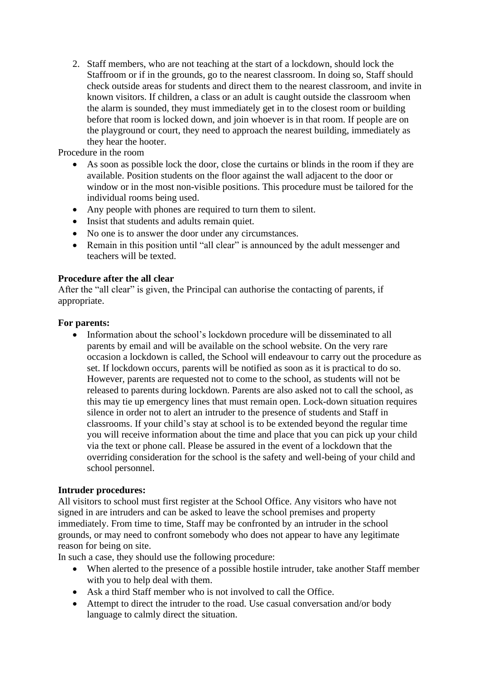2. Staff members, who are not teaching at the start of a lockdown, should lock the Staffroom or if in the grounds, go to the nearest classroom. In doing so, Staff should check outside areas for students and direct them to the nearest classroom, and invite in known visitors. If children, a class or an adult is caught outside the classroom when the alarm is sounded, they must immediately get in to the closest room or building before that room is locked down, and join whoever is in that room. If people are on the playground or court, they need to approach the nearest building, immediately as they hear the hooter.

Procedure in the room

- As soon as possible lock the door, close the curtains or blinds in the room if they are available. Position students on the floor against the wall adjacent to the door or window or in the most non-visible positions. This procedure must be tailored for the individual rooms being used.
- Any people with phones are required to turn them to silent.
- Insist that students and adults remain quiet.
- No one is to answer the door under any circumstances.
- Remain in this position until "all clear" is announced by the adult messenger and teachers will be texted.

## **Procedure after the all clear**

After the "all clear" is given, the Principal can authorise the contacting of parents, if appropriate.

## **For parents:**

• Information about the school's lockdown procedure will be disseminated to all parents by email and will be available on the school website. On the very rare occasion a lockdown is called, the School will endeavour to carry out the procedure as set. If lockdown occurs, parents will be notified as soon as it is practical to do so. However, parents are requested not to come to the school, as students will not be released to parents during lockdown. Parents are also asked not to call the school, as this may tie up emergency lines that must remain open. Lock-down situation requires silence in order not to alert an intruder to the presence of students and Staff in classrooms. If your child's stay at school is to be extended beyond the regular time you will receive information about the time and place that you can pick up your child via the text or phone call. Please be assured in the event of a lockdown that the overriding consideration for the school is the safety and well-being of your child and school personnel.

## **Intruder procedures:**

All visitors to school must first register at the School Office. Any visitors who have not signed in are intruders and can be asked to leave the school premises and property immediately. From time to time, Staff may be confronted by an intruder in the school grounds, or may need to confront somebody who does not appear to have any legitimate reason for being on site.

In such a case, they should use the following procedure:

- When alerted to the presence of a possible hostile intruder, take another Staff member with you to help deal with them.
- Ask a third Staff member who is not involved to call the Office.
- Attempt to direct the intruder to the road. Use casual conversation and/or body language to calmly direct the situation.